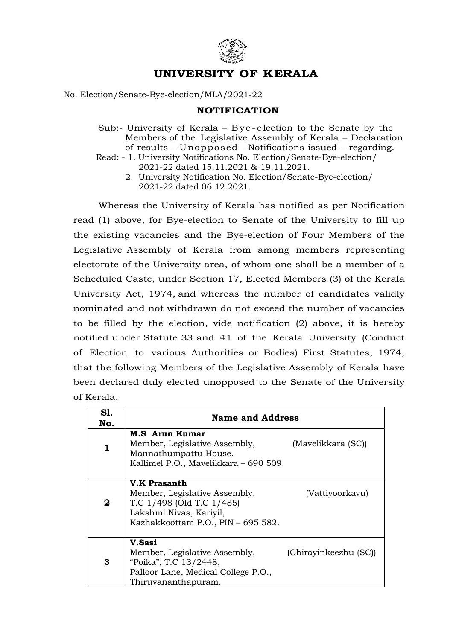

## UNIVERSITY OF KERALA

## No. Election/Senate-Bye-election/MLA/2021-22

## NOTIFICATION

- **UNIVERSITY OF KERALA**<br>
tion/Senate-Bye-election/MLA/2021-22<br> **NOTIFICATION**<br>
Sub:- University of Kerala Bye-election to the Senate by the<br>
Members of the Legislative Assembly of Kerala Declaration<br>
of results Unopp Members of the Legislative Assembly of Kerala – Declaration of results – Unopposed – Notifications issued – regarding.
- Read: 1. University Notifications No. Election/Senate-Bye-election/ 2021-22 dated 15.11.2021 & 19.11.2021.
	- 2. University Notification No. Election/Senate-Bye-election/ 2021-22 dated 06.12.2021.

Whereas the University of Kerala has notified as per Notification read (1) above, for Bye-election to Senate of the University to fill up the existing vacancies and the Bye-election of Four Members of the Legislative Assembly of Kerala from among members representing electorate of the University area, of whom one shall be a member of a Scheduled Caste, under Section 17, Elected Members (3) of the Kerala University Act, 1974, and whereas the number of candidates validly nominated and not withdrawn do not exceed the number of vacancies to be filled by the election, vide notification (2) above, it is hereby notified under Statute 33 and 41 of the Kerala University (Conduct of Election to various Authorities or Bodies) First Statutes, 1974, that the following Members of the Legislative Assembly of Kerala have been declared duly elected unopposed to the Senate of the University of Kerala.

| S1.<br>No. | <b>Name and Address</b>                                                                                                                            |                       |
|------------|----------------------------------------------------------------------------------------------------------------------------------------------------|-----------------------|
| 1          | <b>M.S</b> Arun Kumar<br>Member, Legislative Assembly,<br>Mannathumpattu House,<br>Kallimel P.O., Mavelikkara - 690 509.                           | (Mavelikkara (SC))    |
| $\bf{2}$   | <b>V.K Prasanth</b><br>Member, Legislative Assembly,<br>T.C 1/498 (Old T.C 1/485)<br>Lakshmi Nivas, Kariyil,<br>Kazhakkoottam P.O., PIN - 695 582. | (Vattiyoorkavu)       |
| 3          | V.Sasi<br>Member, Legislative Assembly,<br>"Poika", T.C 13/2448,<br>Palloor Lane, Medical College P.O.,<br>Thiruvananthapuram.                     | (Chirayinkeezhu (SC)) |